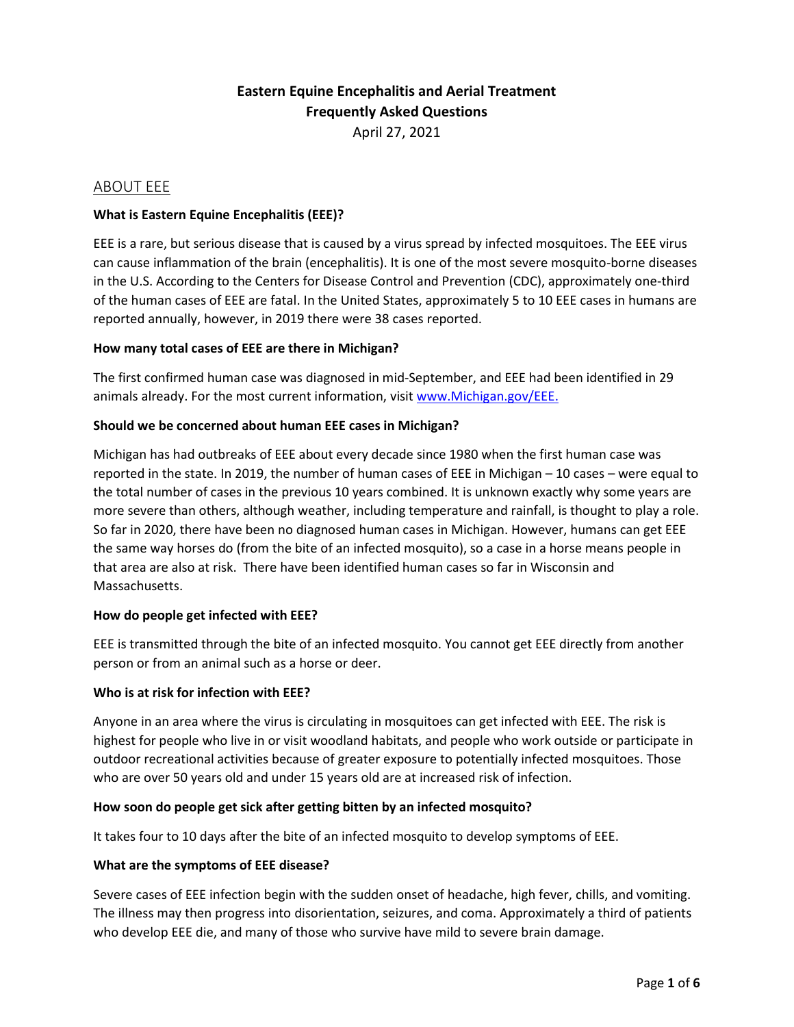# **Eastern Equine Encephalitis and Aerial Treatment Frequently Asked Questions** April 27, 2021

# ABOUT EEE

### **What is Eastern Equine Encephalitis (EEE)?**

EEE is a rare, but serious disease that is caused by a virus spread by infected mosquitoes. The EEE virus can cause inflammation of the brain (encephalitis). It is one of the most severe mosquito-borne diseases in the U.S. According to the Centers for Disease Control and Prevention (CDC), approximately one-third of the human cases of EEE are fatal. In the United States, approximately 5 to 10 EEE cases in humans are reported annually, however, in 2019 there were 38 cases reported.

### **How many total cases of EEE are there in Michigan?**

The first confirmed human case was diagnosed in mid-September, and EEE had been identified in 29 animals already. For the most current information, visit [www.Michigan.gov/EEE.](https://gcc01.safelinks.protection.outlook.com/?url=http%3A%2F%2Fwww.michigan.gov%2FEEE&data=02%7C01%7CDarlingD1%40michigan.gov%7Cb331238b6102496e89ec08d858c3b98a%7Cd5fb7087377742ad966a892ef47225d1%7C0%7C0%7C637356944956523262&sdata=7hzrpAldgCvuCIr%2FpZg%2BMO%2BXsifzNA8wutKil7B%2Fgbo%3D&reserved=0)

#### **Should we be concerned about human EEE cases in Michigan?**

Michigan has had outbreaks of EEE about every decade since 1980 when the first human case was reported in the state. In 2019, the number of human cases of EEE in Michigan – 10 cases – were equal to the total number of cases in the previous 10 years combined. It is unknown exactly why some years are more severe than others, although weather, including temperature and rainfall, is thought to play a role. So far in 2020, there have been no diagnosed human cases in Michigan. However, humans can get EEE the same way horses do (from the bite of an infected mosquito), so a case in a horse means people in that area are also at risk. There have been identified human cases so far in Wisconsin and Massachusetts.

### **How do people get infected with EEE?**

EEE is transmitted through the bite of an infected mosquito. You cannot get EEE directly from another person or from an animal such as a horse or deer.

#### **Who is at risk for infection with EEE?**

Anyone in an area where the virus is circulating in mosquitoes can get infected with EEE. The risk is highest for people who live in or visit woodland habitats, and people who work outside or participate in outdoor recreational activities because of greater exposure to potentially infected mosquitoes. Those who are over 50 years old and under 15 years old are at increased risk of infection.

#### **How soon do people get sick after getting bitten by an infected mosquito?**

It takes four to 10 days after the bite of an infected mosquito to develop symptoms of EEE.

#### **What are the symptoms of EEE disease?**

Severe cases of EEE infection begin with the sudden onset of headache, high fever, chills, and vomiting. The illness may then progress into disorientation, seizures, and coma. Approximately a third of patients who develop EEE die, and many of those who survive have mild to severe brain damage.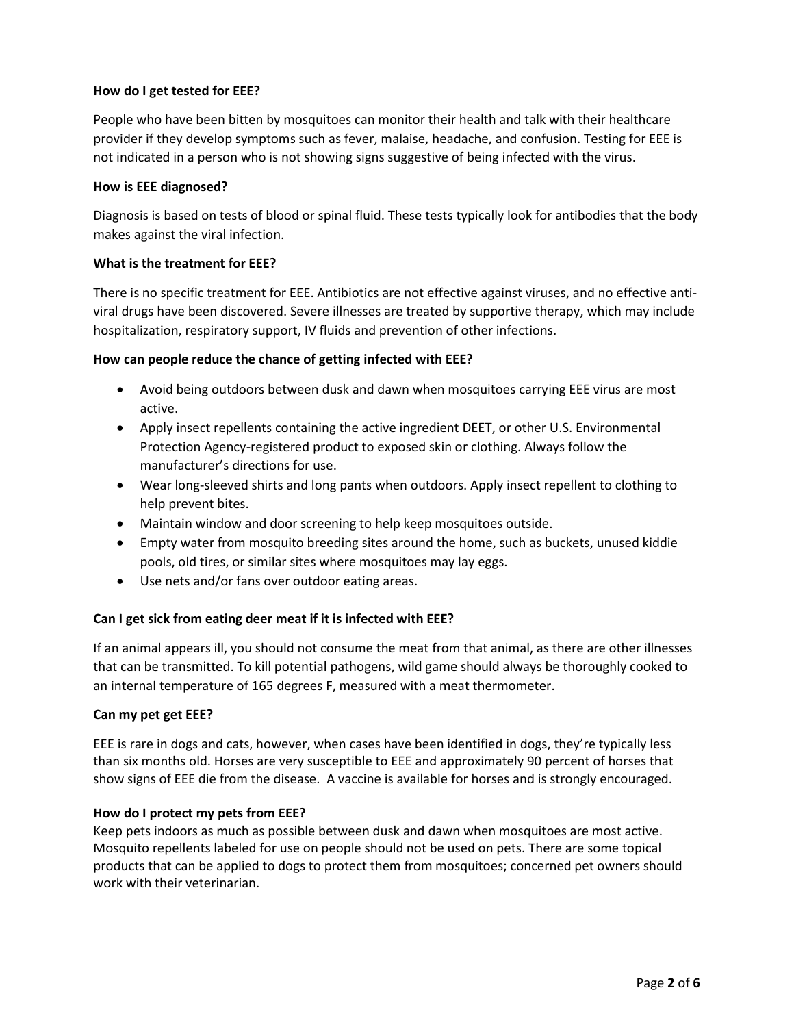### **How do I get tested for EEE?**

People who have been bitten by mosquitoes can monitor their health and talk with their healthcare provider if they develop symptoms such as fever, malaise, headache, and confusion. Testing for EEE is not indicated in a person who is not showing signs suggestive of being infected with the virus.

### **How is EEE diagnosed?**

Diagnosis is based on tests of blood or spinal fluid. These tests typically look for antibodies that the body makes against the viral infection.

### **What is the treatment for EEE?**

There is no specific treatment for EEE. Antibiotics are not effective against viruses, and no effective antiviral drugs have been discovered. Severe illnesses are treated by supportive therapy, which may include hospitalization, respiratory support, IV fluids and prevention of other infections.

#### **How can people reduce the chance of getting infected with EEE?**

- Avoid being outdoors between dusk and dawn when mosquitoes carrying EEE virus are most active.
- Apply insect repellents containing the active ingredient DEET, or other U.S. Environmental Protection Agency-registered product to exposed skin or clothing. Always follow the manufacturer's directions for use.
- Wear long-sleeved shirts and long pants when outdoors. Apply insect repellent to clothing to help prevent bites.
- Maintain window and door screening to help keep mosquitoes outside.
- Empty water from mosquito breeding sites around the home, such as buckets, unused kiddie pools, old tires, or similar sites where mosquitoes may lay eggs.
- Use nets and/or fans over outdoor eating areas.

### **Can I get sick from eating deer meat if it is infected with EEE?**

If an animal appears ill, you should not consume the meat from that animal, as there are other illnesses that can be transmitted. To kill potential pathogens, wild game should always be thoroughly cooked to an internal temperature of 165 degrees F, measured with a meat thermometer.

#### **Can my pet get EEE?**

EEE is rare in dogs and cats, however, when cases have been identified in dogs, they're typically less than six months old. Horses are very susceptible to EEE and approximately 90 percent of horses that show signs of EEE die from the disease. A vaccine is available for horses and is strongly encouraged.

### **How do I protect my pets from EEE?**

Keep pets indoors as much as possible between dusk and dawn when mosquitoes are most active. Mosquito repellents labeled for use on people should not be used on pets. There are some topical products that can be applied to dogs to protect them from mosquitoes; concerned pet owners should work with their veterinarian.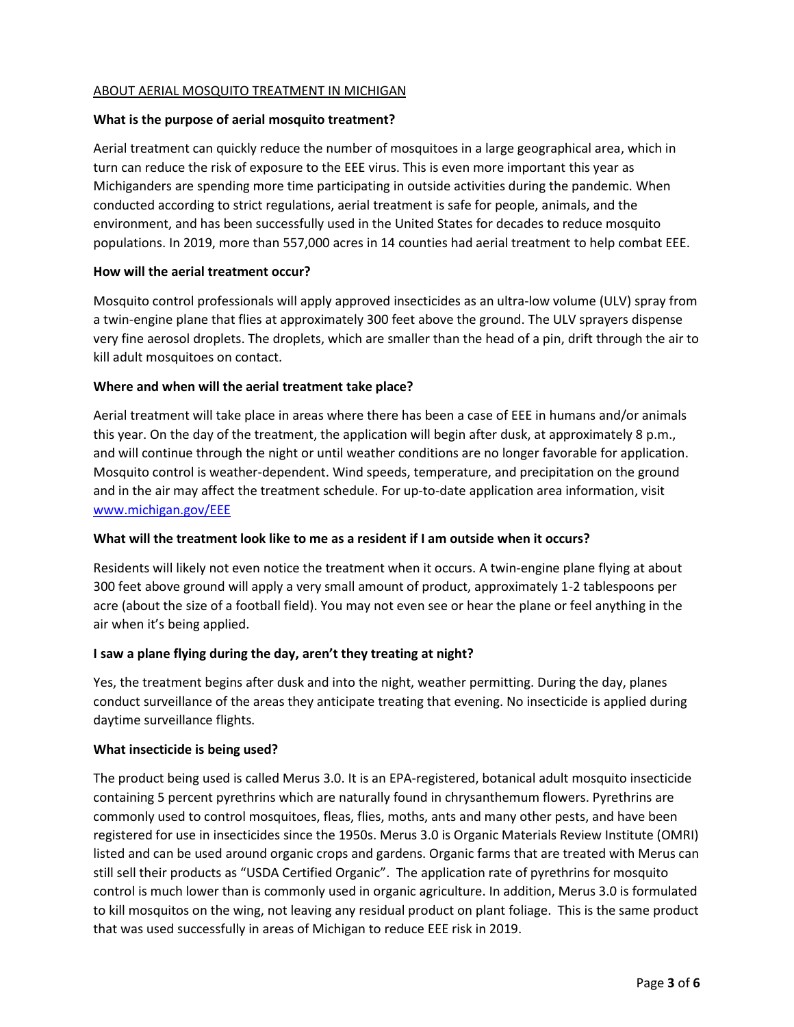### ABOUT AERIAL MOSQUITO TREATMENT IN MICHIGAN

### **What is the purpose of aerial mosquito treatment?**

Aerial treatment can quickly reduce the number of mosquitoes in a large geographical area, which in turn can reduce the risk of exposure to the EEE virus. This is even more important this year as Michiganders are spending more time participating in outside activities during the pandemic. When conducted according to strict regulations, aerial treatment is safe for people, animals, and the environment, and has been successfully used in the United States for decades to reduce mosquito populations. In 2019, more than 557,000 acres in 14 counties had aerial treatment to help combat EEE.

#### **How will the aerial treatment occur?**

Mosquito control professionals will apply approved insecticides as an ultra-low volume (ULV) spray from a twin-engine plane that flies at approximately 300 feet above the ground. The ULV sprayers dispense very fine aerosol droplets. The droplets, which are smaller than the head of a pin, drift through the air to kill adult mosquitoes on contact.

#### **Where and when will the aerial treatment take place?**

Aerial treatment will take place in areas where there has been a case of EEE in humans and/or animals this year. On the day of the treatment, the application will begin after dusk, at approximately 8 p.m., and will continue through the night or until weather conditions are no longer favorable for application. Mosquito control is weather-dependent. Wind speeds, temperature, and precipitation on the ground and in the air may affect the treatment schedule. For up-to-date application area information, visit [www.michigan.gov/EEE](http://www.michigan.gov/EEE)

### **What will the treatment look like to me as a resident if I am outside when it occurs?**

Residents will likely not even notice the treatment when it occurs. A twin-engine plane flying at about 300 feet above ground will apply a very small amount of product, approximately 1-2 tablespoons per acre (about the size of a football field). You may not even see or hear the plane or feel anything in the air when it's being applied.

### **I saw a plane flying during the day, aren't they treating at night?**

Yes, the treatment begins after dusk and into the night, weather permitting. During the day, planes conduct surveillance of the areas they anticipate treating that evening. No insecticide is applied during daytime surveillance flights.

### **What insecticide is being used?**

The product being used is called Merus 3.0. It is an EPA-registered, botanical adult mosquito insecticide containing 5 percent pyrethrins which are naturally found in chrysanthemum flowers. Pyrethrins are commonly used to control mosquitoes, fleas, flies, moths, ants and many other pests, and have been registered for use in insecticides since the 1950s. Merus 3.0 is Organic Materials Review Institute (OMRI) listed and can be used around organic crops and gardens. Organic farms that are treated with Merus can still sell their products as "USDA Certified Organic". The application rate of pyrethrins for mosquito control is much lower than is commonly used in organic agriculture. In addition, Merus 3.0 is formulated to kill mosquitos on the wing, not leaving any residual product on plant foliage. This is the same product that was used successfully in areas of Michigan to reduce EEE risk in 2019.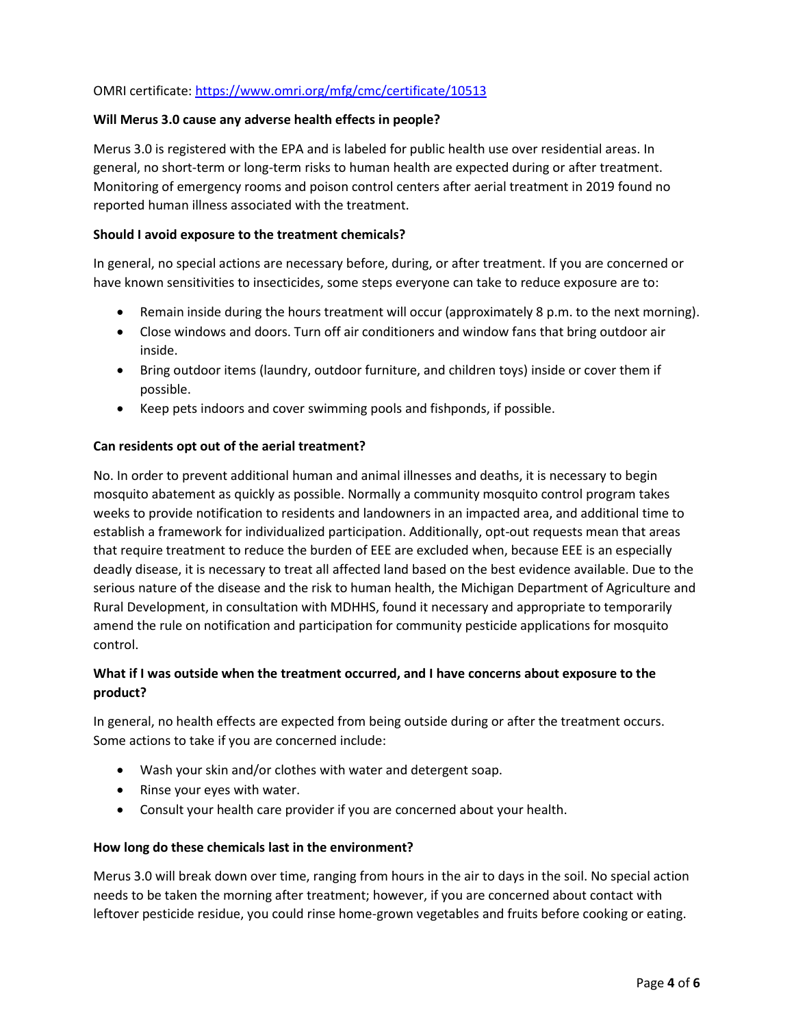# OMRI certificate: <https://www.omri.org/mfg/cmc/certificate/10513>

#### **Will Merus 3.0 cause any adverse health effects in people?**

Merus 3.0 is registered with the EPA and is labeled for public health use over residential areas. In general, no short-term or long-term risks to human health are expected during or after treatment. Monitoring of emergency rooms and poison control centers after aerial treatment in 2019 found no reported human illness associated with the treatment.

#### **Should I avoid exposure to the treatment chemicals?**

In general, no special actions are necessary before, during, or after treatment. If you are concerned or have known sensitivities to insecticides, some steps everyone can take to reduce exposure are to:

- Remain inside during the hours treatment will occur (approximately 8 p.m. to the next morning).
- Close windows and doors. Turn off air conditioners and window fans that bring outdoor air inside.
- Bring outdoor items (laundry, outdoor furniture, and children toys) inside or cover them if possible.
- Keep pets indoors and cover swimming pools and fishponds, if possible.

### **Can residents opt out of the aerial treatment?**

No. In order to prevent additional human and animal illnesses and deaths, it is necessary to begin mosquito abatement as quickly as possible. Normally a community mosquito control program takes weeks to provide notification to residents and landowners in an impacted area, and additional time to establish a framework for individualized participation. Additionally, opt-out requests mean that areas that require treatment to reduce the burden of EEE are excluded when, because EEE is an especially deadly disease, it is necessary to treat all affected land based on the best evidence available. Due to the serious nature of the disease and the risk to human health, the Michigan Department of Agriculture and Rural Development, in consultation with MDHHS, found it necessary and appropriate to temporarily amend the rule on notification and participation for community pesticide applications for mosquito control.

# **What if I was outside when the treatment occurred, and I have concerns about exposure to the product?**

In general, no health effects are expected from being outside during or after the treatment occurs. Some actions to take if you are concerned include:

- Wash your skin and/or clothes with water and detergent soap.
- Rinse your eyes with water.
- Consult your health care provider if you are concerned about your health.

### **How long do these chemicals last in the environment?**

Merus 3.0 will break down over time, ranging from hours in the air to days in the soil. No special action needs to be taken the morning after treatment; however, if you are concerned about contact with leftover pesticide residue, you could rinse home-grown vegetables and fruits before cooking or eating.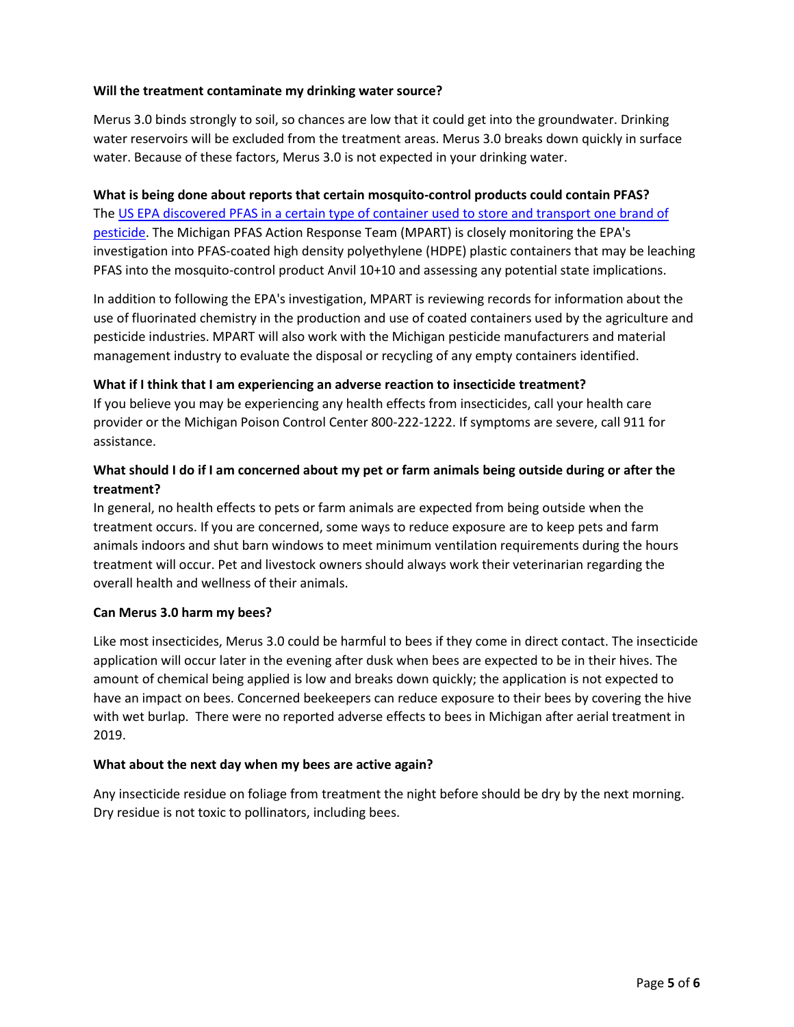### **Will the treatment contaminate my drinking water source?**

Merus 3.0 binds strongly to soil, so chances are low that it could get into the groundwater. Drinking water reservoirs will be excluded from the treatment areas. Merus 3.0 breaks down quickly in surface water. Because of these factors, Merus 3.0 is not expected in your drinking water.

**What is being done about reports that certain mosquito-control products could contain PFAS?** The US [EPA discovered PFAS in a certain type of container](https://gcc02.safelinks.protection.outlook.com/?url=https%3A%2F%2Fwww.epa.gov%2Fnewsreleases%2Fepa-takes-action-investigate-pfas-contamination&data=04%7C01%7CSutfinL1%40michigan.gov%7C7489fe9da7a74f5dcd7b08d90993a50f%7Cd5fb7087377742ad966a892ef47225d1%7C0%7C0%7C637551351992794612%7CUnknown%7CTWFpbGZsb3d8eyJWIjoiMC4wLjAwMDAiLCJQIjoiV2luMzIiLCJBTiI6Ik1haWwiLCJXVCI6Mn0%3D%7C1000&sdata=9qTYCHyvMjIgh2g%2FQi1wFRGumwNUwjK7JIVLzDXzGes%3D&reserved=0) used to store and transport one brand of [pesticide.](https://gcc02.safelinks.protection.outlook.com/?url=https%3A%2F%2Fwww.epa.gov%2Fnewsreleases%2Fepa-takes-action-investigate-pfas-contamination&data=04%7C01%7CSutfinL1%40michigan.gov%7C7489fe9da7a74f5dcd7b08d90993a50f%7Cd5fb7087377742ad966a892ef47225d1%7C0%7C0%7C637551351992794612%7CUnknown%7CTWFpbGZsb3d8eyJWIjoiMC4wLjAwMDAiLCJQIjoiV2luMzIiLCJBTiI6Ik1haWwiLCJXVCI6Mn0%3D%7C1000&sdata=9qTYCHyvMjIgh2g%2FQi1wFRGumwNUwjK7JIVLzDXzGes%3D&reserved=0) The Michigan PFAS Action Response Team (MPART) is closely monitoring the EPA's investigation into PFAS-coated high density polyethylene (HDPE) plastic containers that may be leaching PFAS into the mosquito-control product Anvil 10+10 and assessing any potential state implications.

In addition to following the EPA's investigation, MPART is reviewing records for information about the use of fluorinated chemistry in the production and use of coated containers used by the agriculture and pesticide industries. MPART will also work with the Michigan pesticide manufacturers and material management industry to evaluate the disposal or recycling of any empty containers identified.

### **What if I think that I am experiencing an adverse reaction to insecticide treatment?**

If you believe you may be experiencing any health effects from insecticides, call your health care provider or the Michigan Poison Control Center 800-222-1222. If symptoms are severe, call 911 for assistance.

# **What should I do if I am concerned about my pet or farm animals being outside during or after the treatment?**

In general, no health effects to pets or farm animals are expected from being outside when the treatment occurs. If you are concerned, some ways to reduce exposure are to keep pets and farm animals indoors and shut barn windows to meet minimum ventilation requirements during the hours treatment will occur. Pet and livestock owners should always work their veterinarian regarding the overall health and wellness of their animals.

### **Can Merus 3.0 harm my bees?**

Like most insecticides, Merus 3.0 could be harmful to bees if they come in direct contact. The insecticide application will occur later in the evening after dusk when bees are expected to be in their hives. The amount of chemical being applied is low and breaks down quickly; the application is not expected to have an impact on bees. Concerned beekeepers can reduce exposure to their bees by covering the hive with wet burlap. There were no reported adverse effects to bees in Michigan after aerial treatment in 2019.

### **What about the next day when my bees are active again?**

Any insecticide residue on foliage from treatment the night before should be dry by the next morning. Dry residue is not toxic to pollinators, including bees.